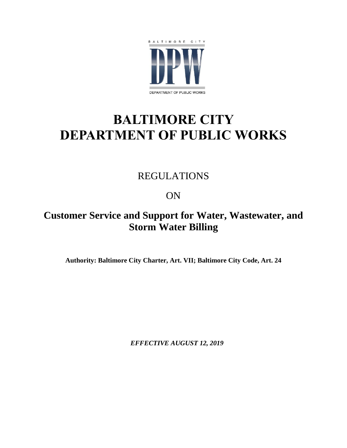

# **BALTIMORE CITY DEPARTMENT OF PUBLIC WORKS**

# REGULATIONS

# ON

# **Customer Service and Support for Water, Wastewater, and Storm Water Billing**

**Authority: Baltimore City Charter, Art. VII; Baltimore City Code, Art. 24**

*EFFECTIVE AUGUST 12, 2019*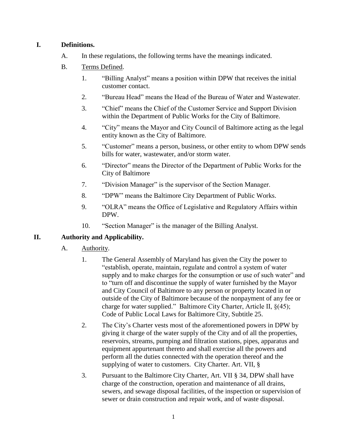#### **I. Definitions.**

- A. In these regulations, the following terms have the meanings indicated.
- B. Terms Defined.
	- 1. "Billing Analyst" means a position within DPW that receives the initial customer contact.
	- 2. "Bureau Head" means the Head of the Bureau of Water and Wastewater.
	- 3. "Chief" means the Chief of the Customer Service and Support Division within the Department of Public Works for the City of Baltimore.
	- 4. "City" means the Mayor and City Council of Baltimore acting as the legal entity known as the City of Baltimore.
	- 5. "Customer" means a person, business, or other entity to whom DPW sends bills for water, wastewater, and/or storm water.
	- 6. "Director" means the Director of the Department of Public Works for the City of Baltimore
	- 7. "Division Manager" is the supervisor of the Section Manager.
	- 8. "DPW" means the Baltimore City Department of Public Works.
	- 9. "OLRA" means the Office of Legislative and Regulatory Affairs within DPW.
	- 10. "Section Manager" is the manager of the Billing Analyst.

### **II. Authority and Applicability.**

- A. Authority.
	- 1. The General Assembly of Maryland has given the City the power to "establish, operate, maintain, regulate and control a system of water supply and to make charges for the consumption or use of such water" and to "turn off and discontinue the supply of water furnished by the Mayor and City Council of Baltimore to any person or property located in or outside of the City of Baltimore because of the nonpayment of any fee or charge for water supplied." Baltimore City Charter, Article II, §(45); Code of Public Local Laws for Baltimore City, Subtitle 25.
	- 2. The City's Charter vests most of the aforementioned powers in DPW by giving it charge of the water supply of the City and of all the properties, reservoirs, streams, pumping and filtration stations, pipes, apparatus and equipment appurtenant thereto and shall exercise all the powers and perform all the duties connected with the operation thereof and the supplying of water to customers. City Charter. Art. VII, §
	- 3. Pursuant to the Baltimore City Charter, Art. VII § 34, DPW shall have charge of the construction, operation and maintenance of all drains, sewers, and sewage disposal facilities, of the inspection or supervision of sewer or drain construction and repair work, and of waste disposal.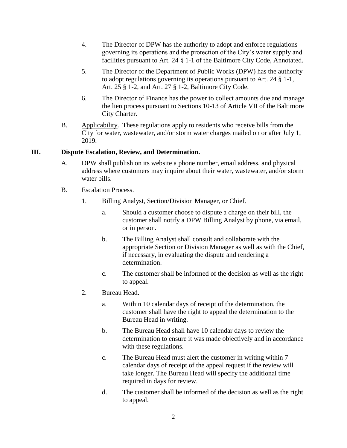- 4. The Director of DPW has the authority to adopt and enforce regulations governing its operations and the protection of the City's water supply and facilities pursuant to Art. 24 § 1-1 of the Baltimore City Code, Annotated.
- 5. The Director of the Department of Public Works (DPW) has the authority to adopt regulations governing its operations pursuant to Art. 24 § 1-1, Art. 25 § 1-2, and Art. 27 § 1-2, Baltimore City Code.
- 6. The Director of Finance has the power to collect amounts due and manage the lien process pursuant to Sections 10-13 of Article VII of the Baltimore City Charter.
- B. Applicability. These regulations apply to residents who receive bills from the City for water, wastewater, and/or storm water charges mailed on or after July 1, 2019.

#### **III. Dispute Escalation, Review, and Determination.**

- A. DPW shall publish on its website a phone number, email address, and physical address where customers may inquire about their water, wastewater, and/or storm water bills.
- B. Escalation Process.
	- 1. Billing Analyst, Section/Division Manager, or Chief.
		- a. Should a customer choose to dispute a charge on their bill, the customer shall notify a DPW Billing Analyst by phone, via email, or in person.
		- b. The Billing Analyst shall consult and collaborate with the appropriate Section or Division Manager as well as with the Chief, if necessary, in evaluating the dispute and rendering a determination.
		- c. The customer shall be informed of the decision as well as the right to appeal.
	- 2. Bureau Head.
		- a. Within 10 calendar days of receipt of the determination, the customer shall have the right to appeal the determination to the Bureau Head in writing.
		- b. The Bureau Head shall have 10 calendar days to review the determination to ensure it was made objectively and in accordance with these regulations.
		- c. The Bureau Head must alert the customer in writing within 7 calendar days of receipt of the appeal request if the review will take longer. The Bureau Head will specify the additional time required in days for review.
		- d. The customer shall be informed of the decision as well as the right to appeal.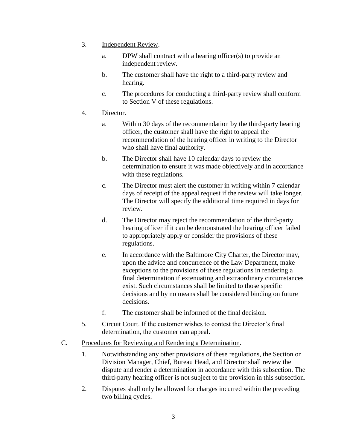- 3. Independent Review.
	- a. DPW shall contract with a hearing officer(s) to provide an independent review.
	- b. The customer shall have the right to a third-party review and hearing.
	- c. The procedures for conducting a third-party review shall conform to Section V of these regulations.
- 4. Director.
	- a. Within 30 days of the recommendation by the third-party hearing officer, the customer shall have the right to appeal the recommendation of the hearing officer in writing to the Director who shall have final authority.
	- b. The Director shall have 10 calendar days to review the determination to ensure it was made objectively and in accordance with these regulations.
	- c. The Director must alert the customer in writing within 7 calendar days of receipt of the appeal request if the review will take longer. The Director will specify the additional time required in days for review.
	- d. The Director may reject the recommendation of the third-party hearing officer if it can be demonstrated the hearing officer failed to appropriately apply or consider the provisions of these regulations.
	- e. In accordance with the Baltimore City Charter, the Director may, upon the advice and concurrence of the Law Department, make exceptions to the provisions of these regulations in rendering a final determination if extenuating and extraordinary circumstances exist. Such circumstances shall be limited to those specific decisions and by no means shall be considered binding on future decisions.
	- f. The customer shall be informed of the final decision.
- 5. Circuit Court. If the customer wishes to contest the Director's final determination, the customer can appeal.
- C. Procedures for Reviewing and Rendering a Determination.
	- 1. Notwithstanding any other provisions of these regulations, the Section or Division Manager, Chief, Bureau Head, and Director shall review the dispute and render a determination in accordance with this subsection. The third-party hearing officer is not subject to the provision in this subsection.
	- 2. Disputes shall only be allowed for charges incurred within the preceding two billing cycles.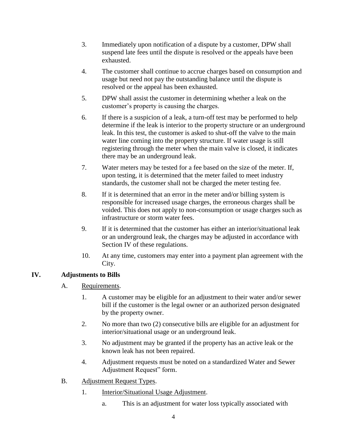- 3. Immediately upon notification of a dispute by a customer, DPW shall suspend late fees until the dispute is resolved or the appeals have been exhausted.
- 4. The customer shall continue to accrue charges based on consumption and usage but need not pay the outstanding balance until the dispute is resolved or the appeal has been exhausted.
- 5. DPW shall assist the customer in determining whether a leak on the customer's property is causing the charges.
- 6. If there is a suspicion of a leak, a turn-off test may be performed to help determine if the leak is interior to the property structure or an underground leak. In this test, the customer is asked to shut-off the valve to the main water line coming into the property structure. If water usage is still registering through the meter when the main valve is closed, it indicates there may be an underground leak.
- 7. Water meters may be tested for a fee based on the size of the meter. If, upon testing, it is determined that the meter failed to meet industry standards, the customer shall not be charged the meter testing fee.
- 8. If it is determined that an error in the meter and/or billing system is responsible for increased usage charges, the erroneous charges shall be voided. This does not apply to non-consumption or usage charges such as infrastructure or storm water fees.
- 9. If it is determined that the customer has either an interior/situational leak or an underground leak, the charges may be adjusted in accordance with Section IV of these regulations.
- 10. At any time, customers may enter into a payment plan agreement with the City.

### **IV. Adjustments to Bills**

- A. Requirements.
	- 1. A customer may be eligible for an adjustment to their water and/or sewer bill if the customer is the legal owner or an authorized person designated by the property owner.
	- 2. No more than two (2) consecutive bills are eligible for an adjustment for interior/situational usage or an underground leak.
	- 3. No adjustment may be granted if the property has an active leak or the known leak has not been repaired.
	- 4. Adjustment requests must be noted on a standardized Water and Sewer Adjustment Request" form.
- B. Adjustment Request Types.
	- 1. **Interior/Situational Usage Adjustment.** 
		- a. This is an adjustment for water loss typically associated with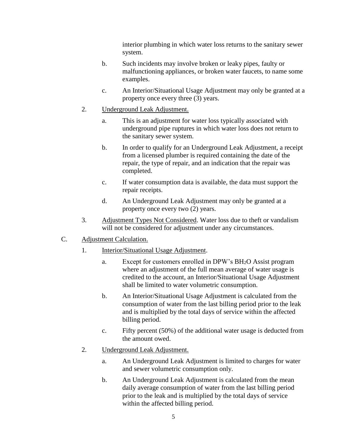interior plumbing in which water loss returns to the sanitary sewer system.

- b. Such incidents may involve broken or leaky pipes, faulty or malfunctioning appliances, or broken water faucets, to name some examples.
- c. An Interior/Situational Usage Adjustment may only be granted at a property once every three (3) years.
- 2. Underground Leak Adjustment.
	- a. This is an adjustment for water loss typically associated with underground pipe ruptures in which water loss does not return to the sanitary sewer system.
	- b. In order to qualify for an Underground Leak Adjustment, a receipt from a licensed plumber is required containing the date of the repair, the type of repair, and an indication that the repair was completed.
	- c. If water consumption data is available, the data must support the repair receipts.
	- d. An Underground Leak Adjustment may only be granted at a property once every two (2) years.
- 3. Adjustment Types Not Considered. Water loss due to theft or vandalism will not be considered for adjustment under any circumstances.
- C. Adjustment Calculation.
	- 1. Interior/Situational Usage Adjustment.
		- a. Except for customers enrolled in DPW's BH2O Assist program where an adjustment of the full mean average of water usage is credited to the account, an Interior/Situational Usage Adjustment shall be limited to water volumetric consumption.
		- b. An Interior/Situational Usage Adjustment is calculated from the consumption of water from the last billing period prior to the leak and is multiplied by the total days of service within the affected billing period.
		- c. Fifty percent (50%) of the additional water usage is deducted from the amount owed.
	- 2. Underground Leak Adjustment.
		- a. An Underground Leak Adjustment is limited to charges for water and sewer volumetric consumption only.
		- b. An Underground Leak Adjustment is calculated from the mean daily average consumption of water from the last billing period prior to the leak and is multiplied by the total days of service within the affected billing period.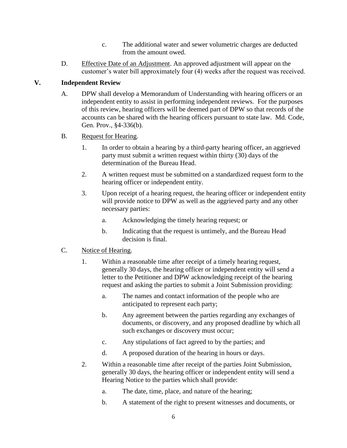- c. The additional water and sewer volumetric charges are deducted from the amount owed.
- D. Effective Date of an Adjustment. An approved adjustment will appear on the customer's water bill approximately four (4) weeks after the request was received.

### **V. Independent Review**

- A. DPW shall develop a Memorandum of Understanding with hearing officers or an independent entity to assist in performing independent reviews. For the purposes of this review, hearing officers will be deemed part of DPW so that records of the accounts can be shared with the hearing officers pursuant to state law. Md. Code, Gen. Prov., §4-336(b).
- B. Request for Hearing.
	- 1. In order to obtain a hearing by a third-party hearing officer, an aggrieved party must submit a written request within thirty (30) days of the determination of the Bureau Head.
	- 2. A written request must be submitted on a standardized request form to the hearing officer or independent entity.
	- 3. Upon receipt of a hearing request, the hearing officer or independent entity will provide notice to DPW as well as the aggrieved party and any other necessary parties:
		- a. Acknowledging the timely hearing request; or
		- b. Indicating that the request is untimely, and the Bureau Head decision is final.

#### C. Notice of Hearing.

- 1. Within a reasonable time after receipt of a timely hearing request, generally 30 days, the hearing officer or independent entity will send a letter to the Petitioner and DPW acknowledging receipt of the hearing request and asking the parties to submit a Joint Submission providing:
	- a. The names and contact information of the people who are anticipated to represent each party;
	- b. Any agreement between the parties regarding any exchanges of documents, or discovery, and any proposed deadline by which all such exchanges or discovery must occur;
	- c. Any stipulations of fact agreed to by the parties; and
	- d. A proposed duration of the hearing in hours or days.
- 2. Within a reasonable time after receipt of the parties Joint Submission, generally 30 days, the hearing officer or independent entity will send a Hearing Notice to the parties which shall provide:
	- a. The date, time, place, and nature of the hearing;
	- b. A statement of the right to present witnesses and documents, or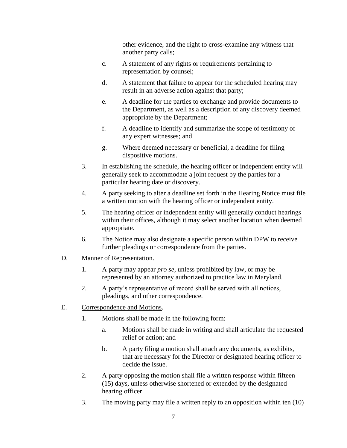other evidence, and the right to cross-examine any witness that another party calls;

- c. A statement of any rights or requirements pertaining to representation by counsel;
- d. A statement that failure to appear for the scheduled hearing may result in an adverse action against that party;
- e. A deadline for the parties to exchange and provide documents to the Department, as well as a description of any discovery deemed appropriate by the Department;
- f. A deadline to identify and summarize the scope of testimony of any expert witnesses; and
- g. Where deemed necessary or beneficial, a deadline for filing dispositive motions.
- 3. In establishing the schedule, the hearing officer or independent entity will generally seek to accommodate a joint request by the parties for a particular hearing date or discovery.
- 4. A party seeking to alter a deadline set forth in the Hearing Notice must file a written motion with the hearing officer or independent entity.
- 5. The hearing officer or independent entity will generally conduct hearings within their offices, although it may select another location when deemed appropriate.
- 6. The Notice may also designate a specific person within DPW to receive further pleadings or correspondence from the parties.
- D. Manner of Representation.
	- 1. A party may appear *pro se*, unless prohibited by law, or may be represented by an attorney authorized to practice law in Maryland.
	- 2. A party's representative of record shall be served with all notices, pleadings, and other correspondence.
- E. Correspondence and Motions.
	- 1. Motions shall be made in the following form:
		- a. Motions shall be made in writing and shall articulate the requested relief or action; and
		- b. A party filing a motion shall attach any documents, as exhibits, that are necessary for the Director or designated hearing officer to decide the issue.
	- 2. A party opposing the motion shall file a written response within fifteen (15) days, unless otherwise shortened or extended by the designated hearing officer.
	- 3. The moving party may file a written reply to an opposition within ten (10)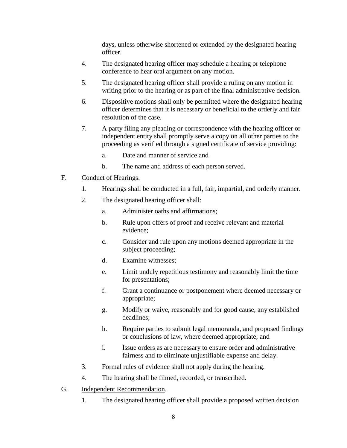days, unless otherwise shortened or extended by the designated hearing officer.

- 4. The designated hearing officer may schedule a hearing or telephone conference to hear oral argument on any motion.
- 5. The designated hearing officer shall provide a ruling on any motion in writing prior to the hearing or as part of the final administrative decision.
- 6. Dispositive motions shall only be permitted where the designated hearing officer determines that it is necessary or beneficial to the orderly and fair resolution of the case.
- 7. A party filing any pleading or correspondence with the hearing officer or independent entity shall promptly serve a copy on all other parties to the proceeding as verified through a signed certificate of service providing:
	- a. Date and manner of service and
	- b. The name and address of each person served.
- F. Conduct of Hearings.
	- 1. Hearings shall be conducted in a full, fair, impartial, and orderly manner.
	- 2. The designated hearing officer shall:
		- a. Administer oaths and affirmations;
		- b. Rule upon offers of proof and receive relevant and material evidence;
		- c. Consider and rule upon any motions deemed appropriate in the subject proceeding;
		- d. Examine witnesses;
		- e. Limit unduly repetitious testimony and reasonably limit the time for presentations;
		- f. Grant a continuance or postponement where deemed necessary or appropriate;
		- g. Modify or waive, reasonably and for good cause, any established deadlines;
		- h. Require parties to submit legal memoranda, and proposed findings or conclusions of law, where deemed appropriate; and
		- i. Issue orders as are necessary to ensure order and administrative fairness and to eliminate unjustifiable expense and delay.
	- 3. Formal rules of evidence shall not apply during the hearing.
	- 4. The hearing shall be filmed, recorded, or transcribed.
- G. Independent Recommendation.
	- 1. The designated hearing officer shall provide a proposed written decision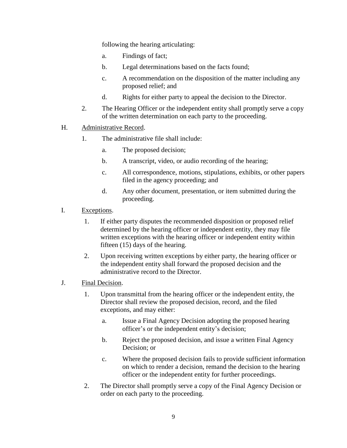following the hearing articulating:

- a. Findings of fact;
- b. Legal determinations based on the facts found;
- c. A recommendation on the disposition of the matter including any proposed relief; and
- d. Rights for either party to appeal the decision to the Director.
- 2. The Hearing Officer or the independent entity shall promptly serve a copy of the written determination on each party to the proceeding.
- H. Administrative Record.
	- 1. The administrative file shall include:
		- a. The proposed decision;
		- b. A transcript, video, or audio recording of the hearing;
		- c. All correspondence, motions, stipulations, exhibits, or other papers filed in the agency proceeding; and
		- d. Any other document, presentation, or item submitted during the proceeding.
- I. Exceptions.
	- 1. If either party disputes the recommended disposition or proposed relief determined by the hearing officer or independent entity, they may file written exceptions with the hearing officer or independent entity within fifteen (15) days of the hearing.
	- 2. Upon receiving written exceptions by either party, the hearing officer or the independent entity shall forward the proposed decision and the administrative record to the Director.
- J. Final Decision.
	- 1. Upon transmittal from the hearing officer or the independent entity, the Director shall review the proposed decision, record, and the filed exceptions, and may either:
		- a. Issue a Final Agency Decision adopting the proposed hearing officer's or the independent entity's decision;
		- b. Reject the proposed decision, and issue a written Final Agency Decision; or
		- c. Where the proposed decision fails to provide sufficient information on which to render a decision, remand the decision to the hearing officer or the independent entity for further proceedings.
	- 2. The Director shall promptly serve a copy of the Final Agency Decision or order on each party to the proceeding.